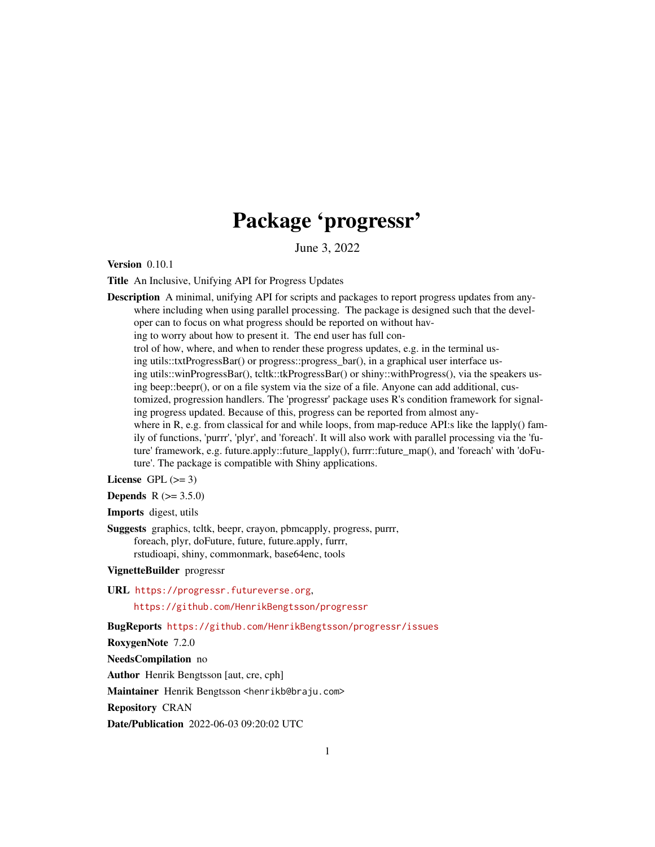# Package 'progressr'

June 3, 2022

<span id="page-0-0"></span>**Version** 0.10.1

Title An Inclusive, Unifying API for Progress Updates

Description A minimal, unifying API for scripts and packages to report progress updates from anywhere including when using parallel processing. The package is designed such that the developer can to focus on what progress should be reported on without having to worry about how to present it. The end user has full control of how, where, and when to render these progress updates, e.g. in the terminal using utils::txtProgressBar() or progress::progress\_bar(), in a graphical user interface using utils::winProgressBar(), tcltk::tkProgressBar() or shiny::withProgress(), via the speakers using beep::beepr(), or on a file system via the size of a file. Anyone can add additional, customized, progression handlers. The 'progressr' package uses R's condition framework for signaling progress updated. Because of this, progress can be reported from almost anywhere in R, e.g. from classical for and while loops, from map-reduce API:s like the lapply() family of functions, 'purrr', 'plyr', and 'foreach'. It will also work with parallel processing via the 'future' framework, e.g. future.apply::future\_lapply(), furrr::future\_map(), and 'foreach' with 'doFuture'. The package is compatible with Shiny applications.

License GPL  $(>= 3)$ 

**Depends**  $R (= 3.5.0)$ 

Imports digest, utils

Suggests graphics, tcltk, beepr, crayon, pbmcapply, progress, purrr, foreach, plyr, doFuture, future, future.apply, furrr, rstudioapi, shiny, commonmark, base64enc, tools

VignetteBuilder progressr

URL <https://progressr.futureverse.org>,

<https://github.com/HenrikBengtsson/progressr>

BugReports <https://github.com/HenrikBengtsson/progressr/issues>

RoxygenNote 7.2.0

NeedsCompilation no

Author Henrik Bengtsson [aut, cre, cph]

Maintainer Henrik Bengtsson <henrikb@braju.com>

Repository CRAN

Date/Publication 2022-06-03 09:20:02 UTC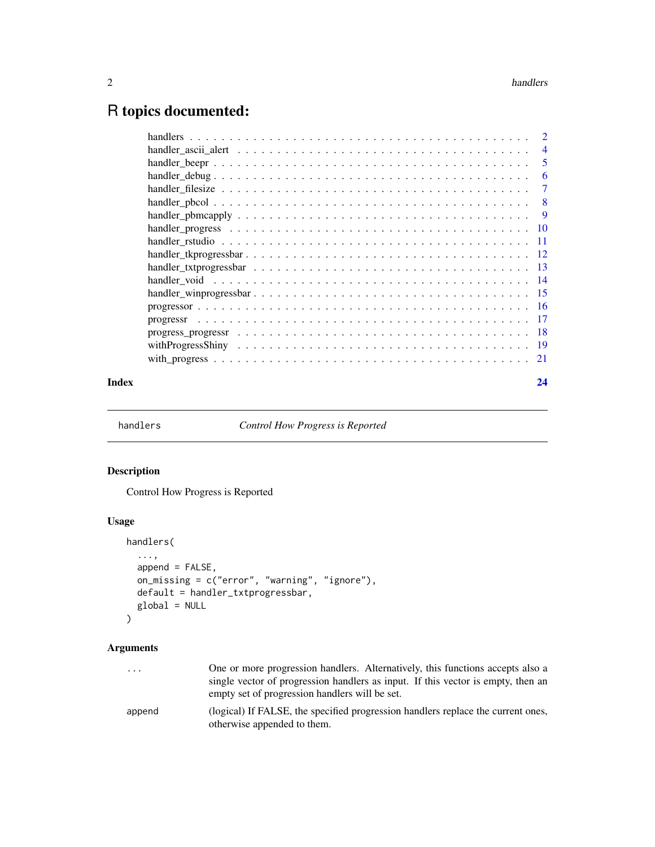# <span id="page-1-0"></span>R topics documented:

| $\overline{4}$ |
|----------------|
| 5              |
| 6              |
| 7              |
| -8             |
| - 9            |
|                |
|                |
|                |
|                |
|                |
|                |
|                |
|                |
|                |
|                |
|                |
|                |

#### **Index** [24](#page-23-0)

handlers *Control How Progress is Reported*

# Description

Control How Progress is Reported

# Usage

```
handlers(
  ...,
  append = FALSE,on_missing = c("error", "warning", "ignore"),
  default = handler_txtprogressbar,
  global = NULL
\mathcal{L}
```

| One or more progression handlers. Alternatively, this functions accepts also a                                  |
|-----------------------------------------------------------------------------------------------------------------|
| single vector of progression handlers as input. If this vector is empty, then an                                |
| empty set of progression handlers will be set.                                                                  |
| (logical) If FALSE, the specified progression handlers replace the current ones,<br>otherwise appended to them. |
|                                                                                                                 |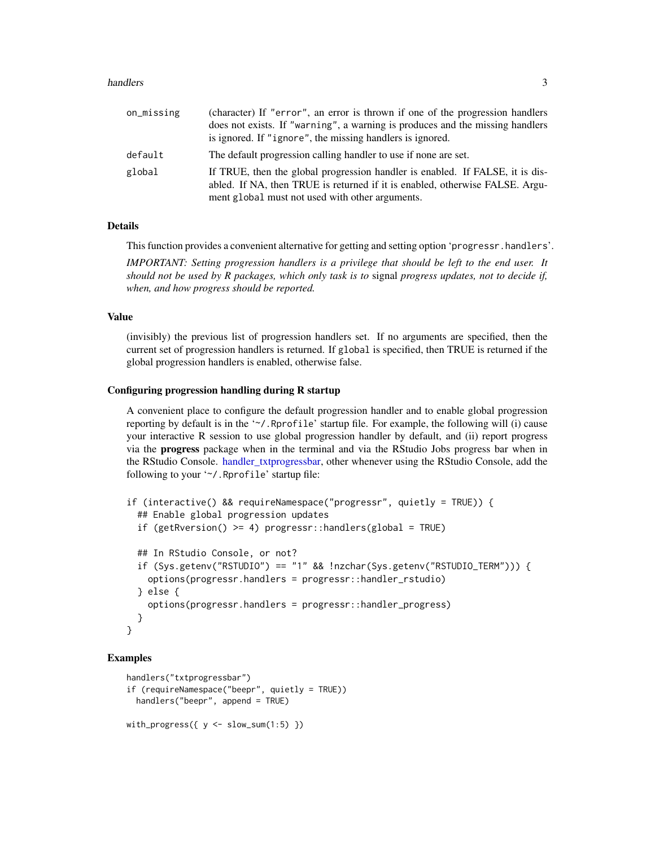#### <span id="page-2-0"></span>handlers 3

| on_missing | (character) If "error", an error is thrown if one of the progression handlers<br>does not exists. If "warning", a warning is produces and the missing handlers<br>is ignored. If "ignore", the missing handlers is ignored. |
|------------|-----------------------------------------------------------------------------------------------------------------------------------------------------------------------------------------------------------------------------|
| default    | The default progression calling handler to use if none are set.                                                                                                                                                             |
| global     | If TRUE, then the global progression handler is enabled. If FALSE, it is dis-<br>abled. If NA, then TRUE is returned if it is enabled, otherwise FALSE. Argu-<br>ment global must not used with other arguments.            |

#### Details

This function provides a convenient alternative for getting and setting option 'progressr.handlers'.

*IMPORTANT: Setting progression handlers is a privilege that should be left to the end user. It should not be used by R packages, which only task is to* signal *progress updates, not to decide if, when, and how progress should be reported.*

#### Value

(invisibly) the previous list of progression handlers set. If no arguments are specified, then the current set of progression handlers is returned. If global is specified, then TRUE is returned if the global progression handlers is enabled, otherwise false.

#### Configuring progression handling during R startup

A convenient place to configure the default progression handler and to enable global progression reporting by default is in the '~/.Rprofile' startup file. For example, the following will (i) cause your interactive R session to use global progression handler by default, and (ii) report progress via the progress package when in the terminal and via the RStudio Jobs progress bar when in the RStudio Console. [handler\\_txtprogressbar,](#page-12-1) other whenever using the RStudio Console, add the following to your '~/.Rprofile' startup file:

```
if (interactive() && requireNamespace("progressr", quietly = TRUE)) {
  ## Enable global progression updates
  if (getRversion() >= 4) progressr::handlers(global = TRUE)
  ## In RStudio Console, or not?
  if (Sys.getenv("RSTUDIO") == "1" && !nzchar(Sys.getenv("RSTUDIO_TERM"))) {
   options(progressr.handlers = progressr::handler_rstudio)
  } else {
    options(progressr.handlers = progressr::handler_progress)
  }
}
```

```
handlers("txtprogressbar")
if (requireNamespace("beepr", quietly = TRUE))
  handlers("beepr", append = TRUE)
with_progress(\{ y \le -\text{slow\_sum}(1:5) \})
```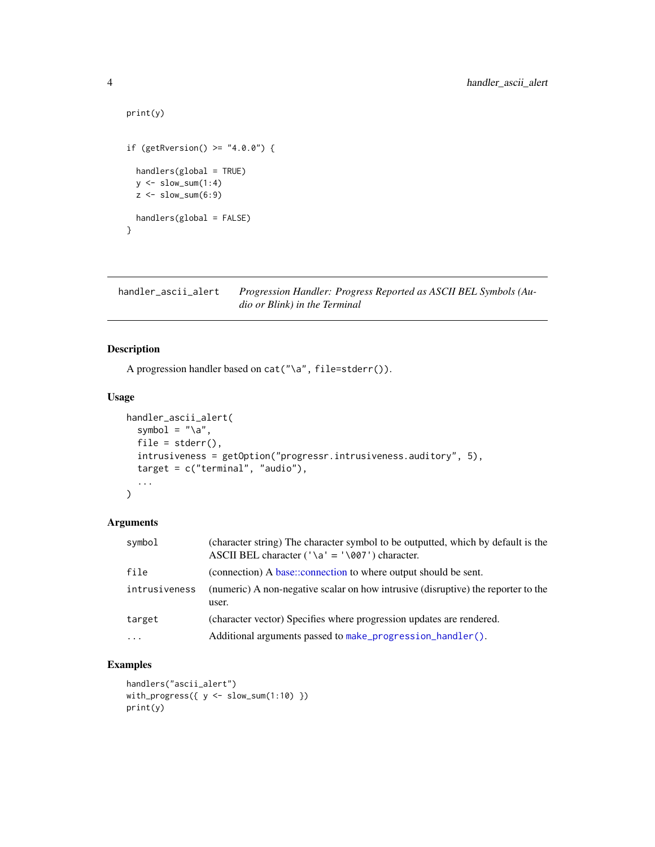```
print(y)
if (getRversion() > = "4.0.0") {
 handlers(global = TRUE)
  y \leftarrow slow_sum(1:4)
  z \leftarrow slow_sum(6:9)
 handlers(global = FALSE)
}
```
<span id="page-3-1"></span>handler\_ascii\_alert *Progression Handler: Progress Reported as ASCII BEL Symbols (Audio or Blink) in the Terminal*

#### Description

A progression handler based on cat("\a", file=stderr()).

#### Usage

```
handler_ascii_alert(
  symbol = "\a",file = stderr(),
  intrusiveness = getOption("progressr.intrusiveness.auditory", 5),
  target = c("terminal", "audio"),
  ...
)
```
# Arguments

| symbol        | (character string) The character symbol to be outputted, which by default is the<br>ASCII BEL character ('\a' = '\007') character. |
|---------------|------------------------------------------------------------------------------------------------------------------------------------|
| file          | (connection) A base::connection to where output should be sent.                                                                    |
| intrusiveness | (numeric) A non-negative scalar on how intrusive (disruptive) the reporter to the<br>user.                                         |
| target        | (character vector) Specifies where progression updates are rendered.                                                               |
| $\cdot$       | Additional arguments passed to make progression handler().                                                                         |

```
handlers("ascii_alert")
with_progress(\{ y \leftarrow slow\_sum(1:10) \})
print(y)
```
<span id="page-3-0"></span>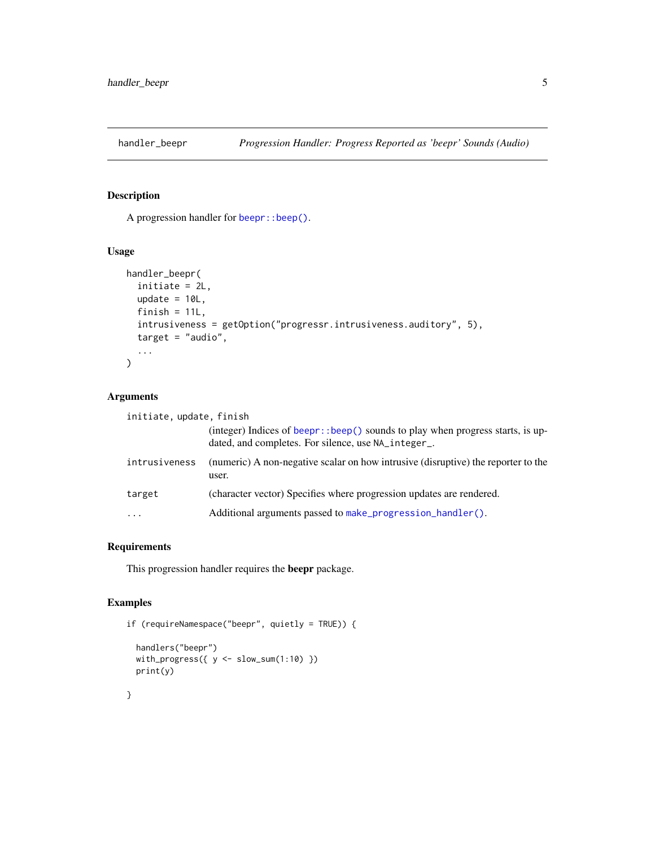<span id="page-4-1"></span><span id="page-4-0"></span>

A progression handler for [beepr::beep\(\)](#page-0-0).

#### Usage

```
handler_beepr(
  initiate = 2L,
 update = 10L,
 finish = 11L,
  intrusiveness = getOption("progressr.intrusiveness.auditory", 5),
  target = "audio",
  ...
)
```
# Arguments

| initiate, update, finish |                                                                                                                                       |
|--------------------------|---------------------------------------------------------------------------------------------------------------------------------------|
|                          | (integer) Indices of beepr::beep() sounds to play when progress starts, is up-<br>dated, and completes. For silence, use NA_integer_. |
| intrusiveness            | (numeric) A non-negative scalar on how intrusive (disruptive) the reporter to the<br>user.                                            |
| target                   | (character vector) Specifies where progression updates are rendered.                                                                  |
| $\cdot\cdot\cdot$        | Additional arguments passed to make_progression_handler().                                                                            |

# Requirements

This progression handler requires the beepr package.

# Examples

```
if (requireNamespace("beepr", quietly = TRUE)) {
  handlers("beepr")
  with_progress(\{ y \leftarrow slow\_sum(1:10) \})
  print(y)
```
}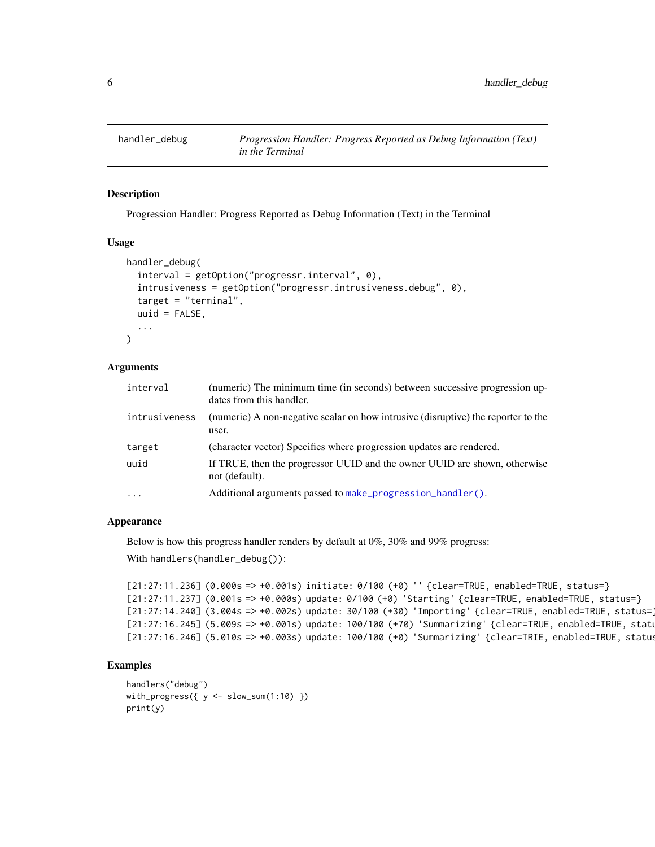<span id="page-5-1"></span><span id="page-5-0"></span>

Progression Handler: Progress Reported as Debug Information (Text) in the Terminal

#### Usage

```
handler_debug(
  interval = getOption("progressr.interval", 0),
  intrusiveness = getOption("progressr.intrusiveness.debug", 0),
  target = "terminal",
  uuid = FALSE,...
)
```
#### Arguments

| interval      | (numeric) The minimum time (in seconds) between successive progression up-<br>dates from this handler. |
|---------------|--------------------------------------------------------------------------------------------------------|
| intrusiveness | (numeric) A non-negative scalar on how intrusive (disruptive) the reporter to the<br>user.             |
| target        | (character vector) Specifies where progression updates are rendered.                                   |
| uuid          | If TRUE, then the progressor UUID and the owner UUID are shown, otherwise<br>not (default).            |
| $\ddotsc$     | Additional arguments passed to make_progression_handler().                                             |

#### Appearance

Below is how this progress handler renders by default at 0%, 30% and 99% progress:

With handlers(handler\_debug()):

```
[21:27:11.236] (0.000s => +0.001s) initiate: 0/100 (+0) '' {clear=TRUE, enabled=TRUE, status=}
[21:27:11.237] (0.001s => +0.000s) update: 0/100 (+0) 'Starting' {clear=TRUE, enabled=TRUE, status=}
[21:27:14.240] (3.004s => +0.002s) update: 30/100 (+30) 'Importing' {clear=TRUE, enabled=TRUE, status=}
[21:27:16.245] (5.009s => +0.001s) update: 100/100 (+70) 'Summarizing' {clear=TRUE, enabled=TRUE, status=}
[21:27:16.246] (5.010s => +0.003s) update: 100/100 (+0) 'Summarizing' {clear=TRIE, enabled=TRUE, status=}
```

```
handlers("debug")
with_progress(\{ y \le -\text{slow\_sum}(1:10) \})
print(y)
```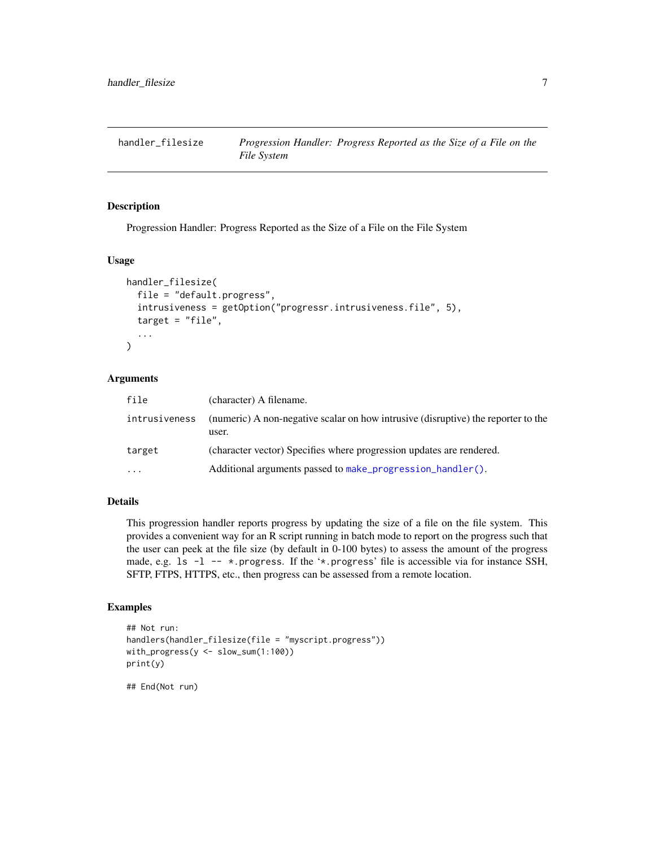<span id="page-6-1"></span><span id="page-6-0"></span>

Progression Handler: Progress Reported as the Size of a File on the File System

#### Usage

```
handler_filesize(
  file = "default.progress",
  intrusiveness = getOption("progressr.intrusiveness.file", 5),
  target = "file",...
)
```
#### Arguments

| file          | (character) A filename.                                                                    |
|---------------|--------------------------------------------------------------------------------------------|
| intrusiveness | (numeric) A non-negative scalar on how intrusive (disruptive) the reporter to the<br>user. |
| target        | (character vector) Specifies where progression updates are rendered.                       |
| $\ddotsc$     | Additional arguments passed to make progression handler().                                 |

# Details

This progression handler reports progress by updating the size of a file on the file system. This provides a convenient way for an R script running in batch mode to report on the progress such that the user can peek at the file size (by default in 0-100 bytes) to assess the amount of the progress made, e.g. 1s  $-1$  --  $\star$ .progress. If the ' $\star$ .progress' file is accessible via for instance SSH, SFTP, FTPS, HTTPS, etc., then progress can be assessed from a remote location.

```
## Not run:
handlers(handler_filesize(file = "myscript.progress"))
with_progress(y <- slow_sum(1:100))
print(y)
## End(Not run)
```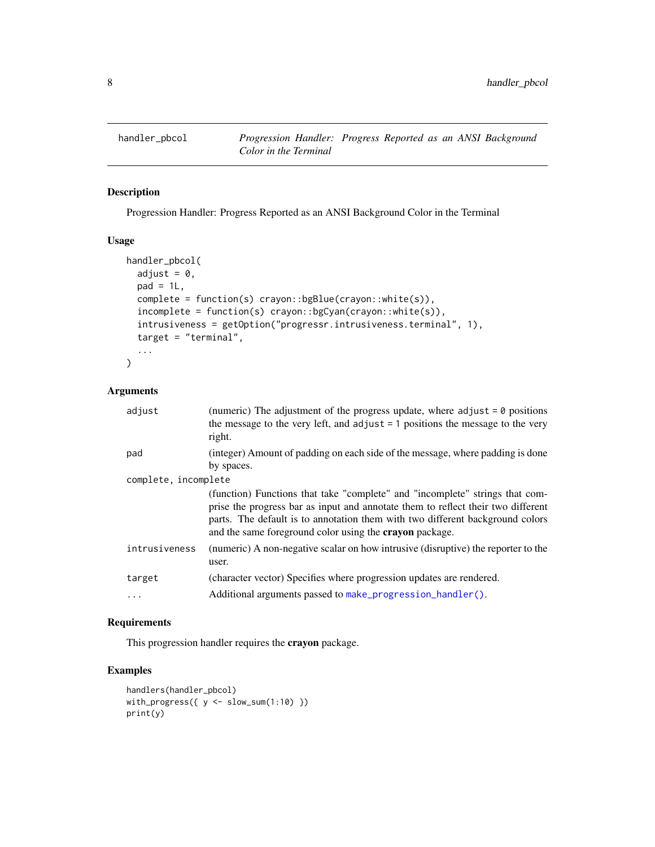<span id="page-7-1"></span><span id="page-7-0"></span>

Progression Handler: Progress Reported as an ANSI Background Color in the Terminal

# Usage

```
handler_pbcol(
 adjust = 0,
 pad = 1L,complete = function(s) crayon::bgBlue(crayon::white(s)),
  incomplete = function(s) crayon::bgCyan(crayon::white(s)),
  intrusiveness = getOption("progressr.intrusiveness.terminal", 1),
  target = "terminal",
  ...
)
```
#### Arguments

| adjust               | (numeric) The adjustment of the progress update, where adjust $= 0$ positions<br>the message to the very left, and adjust $= 1$ positions the message to the very<br>right.                                                                                                                                         |  |  |
|----------------------|---------------------------------------------------------------------------------------------------------------------------------------------------------------------------------------------------------------------------------------------------------------------------------------------------------------------|--|--|
| pad                  | (integer) Amount of padding on each side of the message, where padding is done<br>by spaces.                                                                                                                                                                                                                        |  |  |
| complete, incomplete |                                                                                                                                                                                                                                                                                                                     |  |  |
|                      | (function) Functions that take "complete" and "incomplete" strings that com-<br>prise the progress bar as input and annotate them to reflect their two different<br>parts. The default is to annotation them with two different background colors<br>and the same foreground color using the <b>crayon</b> package. |  |  |
| intrusiveness        | (numeric) A non-negative scalar on how intrusive (disruptive) the reporter to the<br>user.                                                                                                                                                                                                                          |  |  |
| target               | (character vector) Specifies where progression updates are rendered.                                                                                                                                                                                                                                                |  |  |
| $\ddots$             | Additional arguments passed to make_progression_handler().                                                                                                                                                                                                                                                          |  |  |

# Requirements

This progression handler requires the crayon package.

```
handlers(handler_pbcol)
with_progress(\{ y \le -\text{slow\_sum}(1:10) \})
print(y)
```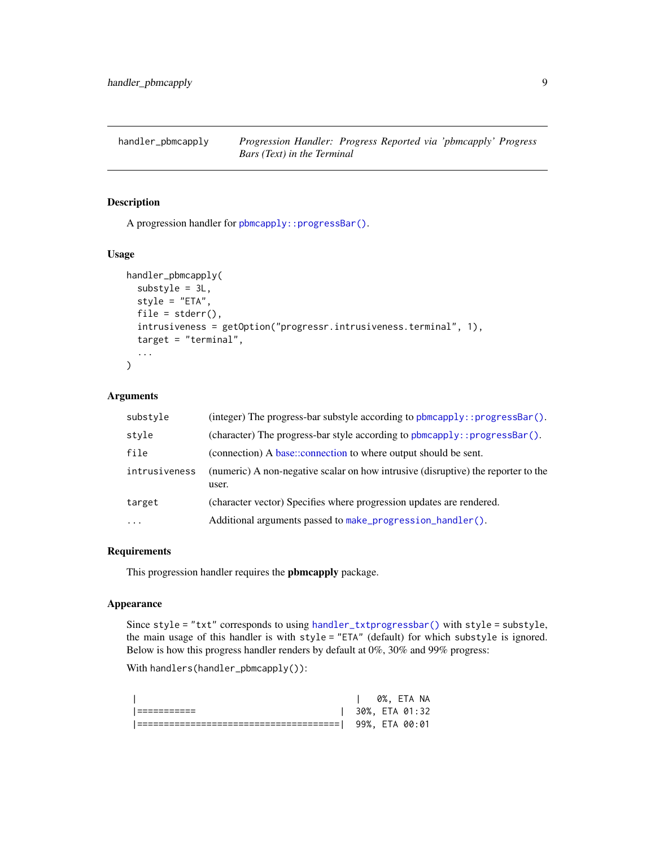<span id="page-8-1"></span><span id="page-8-0"></span>

A progression handler for [pbmcapply::progressBar\(\)](#page-0-0).

#### Usage

```
handler_pbmcapply(
  substyle = 3L,
  style = "ETA",
  file = stder(),
  intrusiveness = getOption("progressr.intrusiveness.terminal", 1),
  target = "terminal",
  ...
)
```
# Arguments

| substyle      | (integer) The progress-bar substyle according to pbmcapply:: progressBar().                |
|---------------|--------------------------------------------------------------------------------------------|
| style         | (character) The progress-bar style according to phmcapply::progressBar().                  |
| file          | (connection) A base::connection to where output should be sent.                            |
| intrusiveness | (numeric) A non-negative scalar on how intrusive (disruptive) the reporter to the<br>user. |
| target        | (character vector) Specifies where progression updates are rendered.                       |
| $\cdots$      | Additional arguments passed to make_progression_handler().                                 |

#### Requirements

This progression handler requires the pbmcapply package.

#### Appearance

Since style = "txt" corresponds to using [handler\\_txtprogressbar\(\)](#page-12-1) with style = substyle, the main usage of this handler is with style = "ETA" (default) for which substyle is ignored. Below is how this progress handler renders by default at 0%, 30% and 99% progress:

With handlers(handler\_pbmcapply()):

|  | 0%. ETA NA           |
|--|----------------------|
|  | $1.30\%$ . ETA 01:32 |
|  | 99%. ETA 00:01       |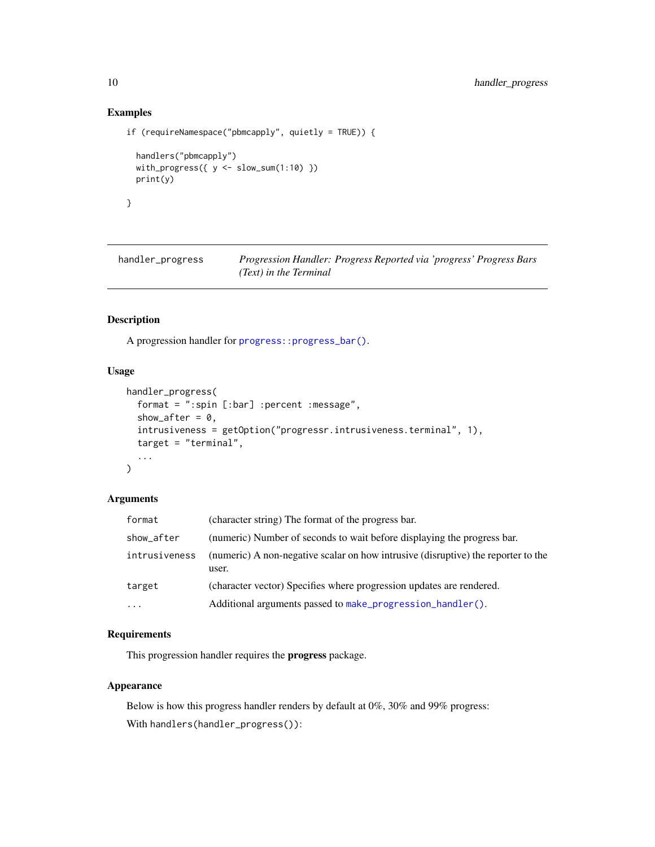# Examples

```
if (requireNamespace("pbmcapply", quietly = TRUE)) {
  handlers("pbmcapply")
  with_progress(\{ y \leftarrow slow\_sum(1:10) \})
  print(y)
}
```
<span id="page-9-1"></span>handler\_progress *Progression Handler: Progress Reported via 'progress' Progress Bars (Text) in the Terminal*

#### Description

A progression handler for [progress::progress\\_bar\(\)](#page-0-0).

# Usage

```
handler_progress(
  format = ":spin [:bar] :percent :message",
  show_after = 0,
  intrusiveness = getOption("progressr.intrusiveness.terminal", 1),
  target = "terminal",
  ...
\mathcal{L}
```
#### Arguments

| format        | (character string) The format of the progress bar.                                         |
|---------------|--------------------------------------------------------------------------------------------|
| show_after    | (numeric) Number of seconds to wait before displaying the progress bar.                    |
| intrusiveness | (numeric) A non-negative scalar on how intrusive (disruptive) the reporter to the<br>user. |
| target        | (character vector) Specifies where progression updates are rendered.                       |
| $\ddotsc$     | Additional arguments passed to make progression handler().                                 |

# Requirements

This progression handler requires the progress package.

# Appearance

Below is how this progress handler renders by default at 0%, 30% and 99% progress: With handlers(handler\_progress()):

<span id="page-9-0"></span>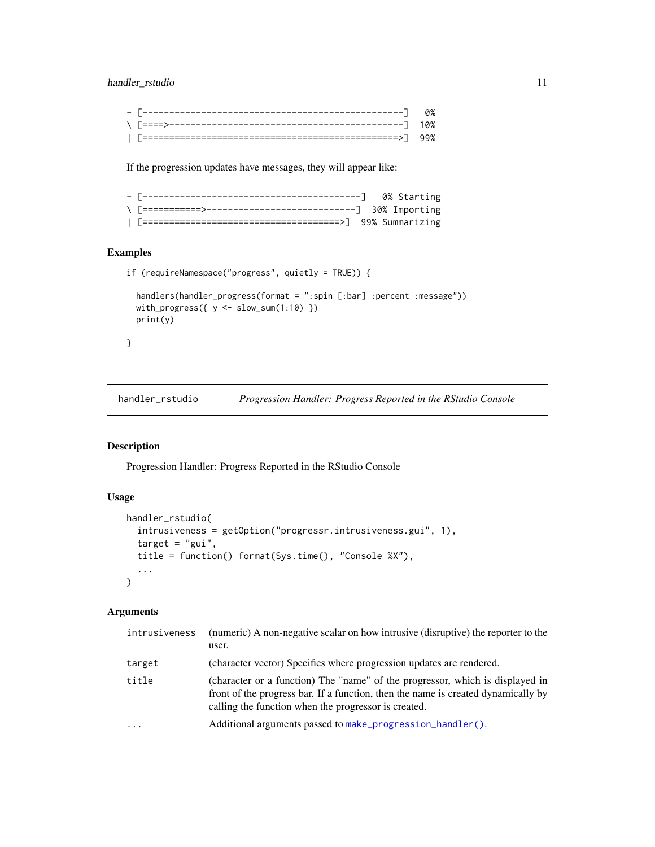# <span id="page-10-0"></span>handler\_rstudio 11

If the progression updates have messages, they will appear like:

# Examples

```
if (requireNamespace("progress", quietly = TRUE)) {
```

```
handlers(handler_progress(format = ":spin [:bar] :percent :message"))
with_progress(\{ y \leftarrow slow\_sum(1:10) \})
print(y)
```

```
}
```
<span id="page-10-1"></span>handler\_rstudio *Progression Handler: Progress Reported in the RStudio Console*

# Description

Progression Handler: Progress Reported in the RStudio Console

#### Usage

```
handler_rstudio(
  intrusiveness = getOption("progressr.intrusiveness.gui", 1),
  target = "gui",title = function() format(Sys.time(), "Console %X"),
  ...
)
```

| intrusiveness | (numeric) A non-negative scalar on how intrusive (disruptive) the reporter to the<br>user.                                                                                                                                 |
|---------------|----------------------------------------------------------------------------------------------------------------------------------------------------------------------------------------------------------------------------|
| target        | (character vector) Specifies where progression updates are rendered.                                                                                                                                                       |
| title         | (character or a function) The "name" of the progressor, which is displayed in<br>front of the progress bar. If a function, then the name is created dynamically by<br>calling the function when the progressor is created. |
| $\cdots$      | Additional arguments passed to make_progression_handler().                                                                                                                                                                 |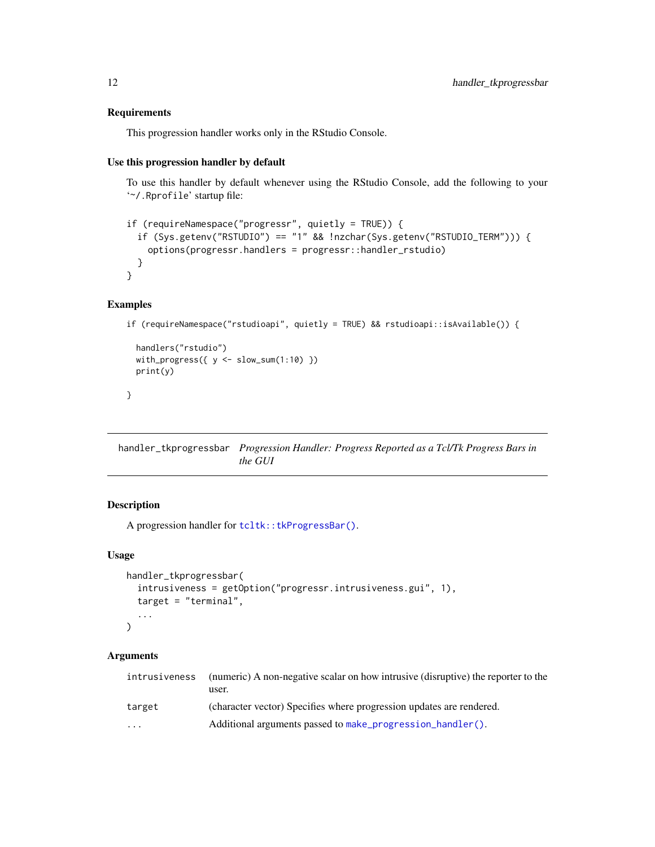#### <span id="page-11-0"></span>Requirements

This progression handler works only in the RStudio Console.

#### Use this progression handler by default

To use this handler by default whenever using the RStudio Console, add the following to your '~/.Rprofile' startup file:

```
if (requireNamespace("progressr", quietly = TRUE)) {
 if (Sys.getenv("RSTUDIO") == "1" && !nzchar(Sys.getenv("RSTUDIO_TERM"))) {
   options(progressr.handlers = progressr::handler_rstudio)
 }
}
```
#### Examples

```
if (requireNamespace("rstudioapi", quietly = TRUE) && rstudioapi::isAvailable()) {
```

```
handlers("rstudio")
with_progress(\{ y \le -\text{slow\_sum}(1:10) \})
print(y)
```
}

<span id="page-11-1"></span>handler\_tkprogressbar *Progression Handler: Progress Reported as a Tcl/Tk Progress Bars in the GUI*

# Description

A progression handler for [tcltk::tkProgressBar\(\)](#page-0-0).

#### Usage

```
handler_tkprogressbar(
  intrusiveness = getOption("progressr.intrusiveness.gui", 1),
  target = "terminal",
  ...
\mathcal{L}
```

| intrusiveness           | (numeric) A non-negative scalar on how intrusive (disruptive) the reporter to the |
|-------------------------|-----------------------------------------------------------------------------------|
|                         | user.                                                                             |
| target                  | (character vector) Specifies where progression updates are rendered.              |
| $\cdot$ $\cdot$ $\cdot$ | Additional arguments passed to make progression handler().                        |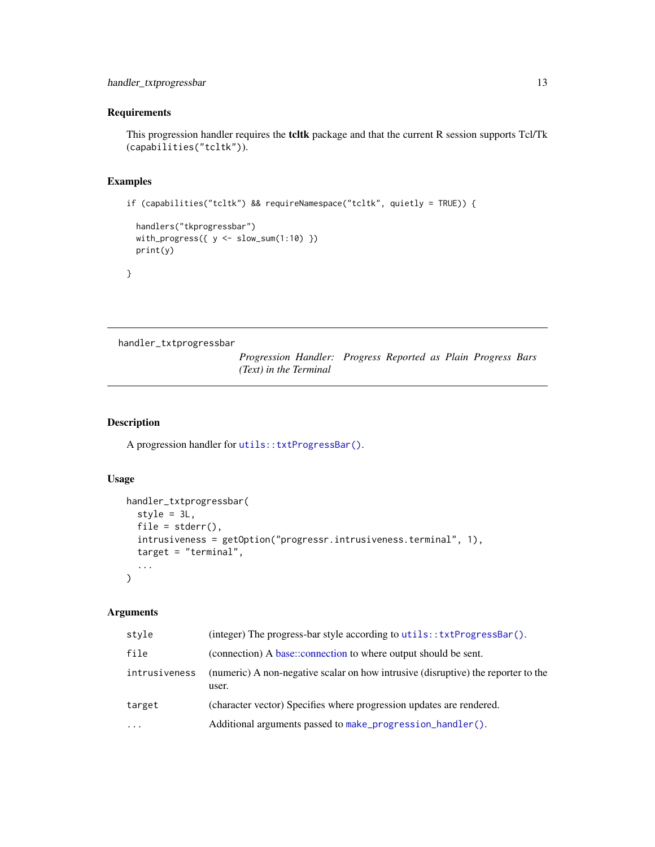#### <span id="page-12-0"></span>**Requirements**

This progression handler requires the tcltk package and that the current R session supports Tcl/Tk (capabilities("tcltk")).

# Examples

```
if (capabilities("tcltk") && requireNamespace("tcltk", quietly = TRUE)) {
```

```
handlers("tkprogressbar")
with_progress(\{ y \leftarrow slow\_sum(1:10) \})
print(y)
```
}

<span id="page-12-1"></span>handler\_txtprogressbar

*Progression Handler: Progress Reported as Plain Progress Bars (Text) in the Terminal*

# Description

A progression handler for [utils::txtProgressBar\(\)](#page-0-0).

# Usage

```
handler_txtprogressbar(
  style = 3L,
  file = stder(),
  intrusiveness = getOption("progressr.intrusiveness.terminal", 1),
  target = "terminal",
  ...
)
```

| style         | (integer) The progress-bar style according to utils::txtProgressBar().                     |
|---------------|--------------------------------------------------------------------------------------------|
| file          | (connection) A base::connection to where output should be sent.                            |
| intrusiveness | (numeric) A non-negative scalar on how intrusive (disruptive) the reporter to the<br>user. |
| target        | (character vector) Specifies where progression updates are rendered.                       |
| $\ddotsc$     | Additional arguments passed to make progression handler().                                 |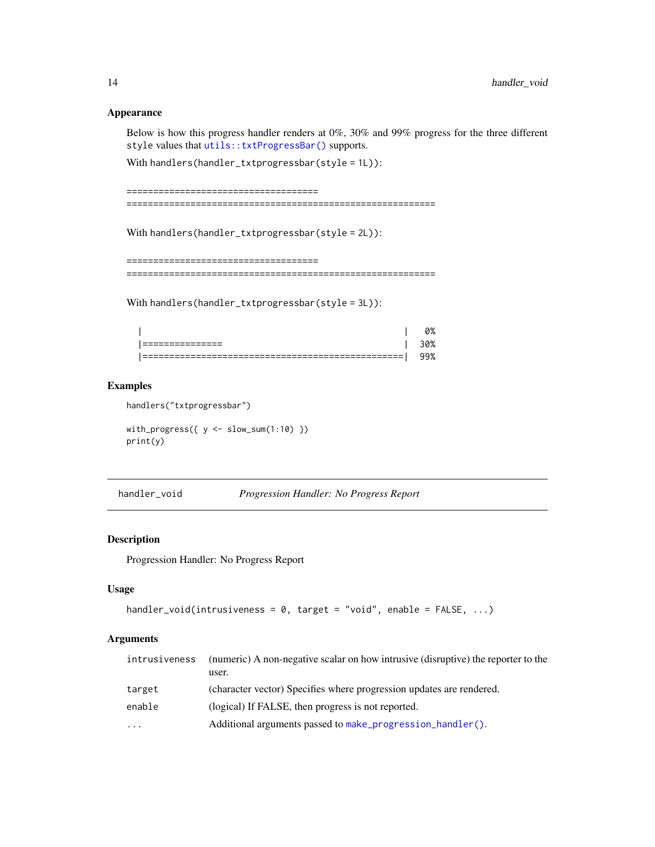#### Appearance

Below is how this progress handler renders at 0%, 30% and 99% progress for the three different style values that [utils::txtProgressBar\(\)](#page-0-0) supports.

With handlers(handler\_txtprogressbar(style = 1L)):

```
====================================
==========================================================
```
With handlers(handler\_txtprogressbar(style = 2L)):

```
====================================
==========================================================
```
With handlers(handler\_txtprogressbar(style = 3L)):

|    |            | 0%  |
|----|------------|-----|
| -- |            | 10% |
|    | ---<br>--- | 99% |

#### Examples

handlers("txtprogressbar")

with\_progress( $\{ y \leftarrow slow\_sum(1:10) \}$ ) print(y)

handler\_void *Progression Handler: No Progress Report*

#### Description

Progression Handler: No Progress Report

# Usage

```
handler_void(intrusiveness = 0, target = "void", enable = FALSE, ...)
```

| intrusiveness | (numeric) A non-negative scalar on how intrusive (disruptive) the reporter to the<br>user. |
|---------------|--------------------------------------------------------------------------------------------|
| target        | (character vector) Specifies where progression updates are rendered.                       |
| enable        | (logical) If FALSE, then progress is not reported.                                         |
| $\cdots$      | Additional arguments passed to make progression handler().                                 |

<span id="page-13-0"></span>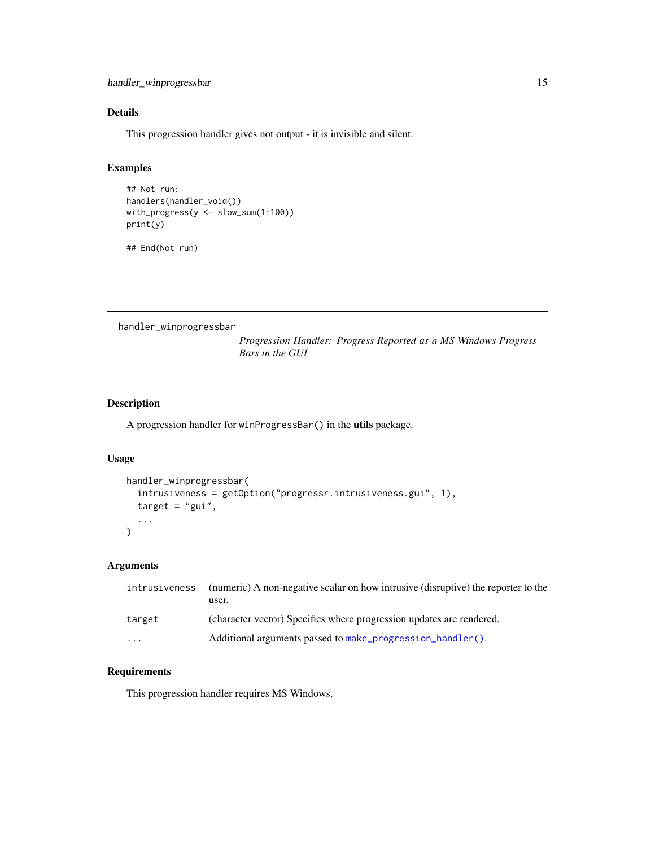# <span id="page-14-0"></span>Details

This progression handler gives not output - it is invisible and silent.

## Examples

```
## Not run:
handlers(handler_void())
with_progress(y <- slow_sum(1:100))
print(y)
```
## End(Not run)

<span id="page-14-1"></span>handler\_winprogressbar

*Progression Handler: Progress Reported as a MS Windows Progress Bars in the GUI*

# Description

A progression handler for winProgressBar() in the utils package.

# Usage

```
handler_winprogressbar(
  intrusiveness = getOption("progressr.intrusiveness.gui", 1),
  target = "gui",...
\mathcal{L}
```
# Arguments

| intrusiveness | (numeric) A non-negative scalar on how intrusive (disruptive) the reporter to the<br>user. |
|---------------|--------------------------------------------------------------------------------------------|
| target        | (character vector) Specifies where progression updates are rendered.                       |
| .             | Additional arguments passed to make progression handler().                                 |

#### Requirements

This progression handler requires MS Windows.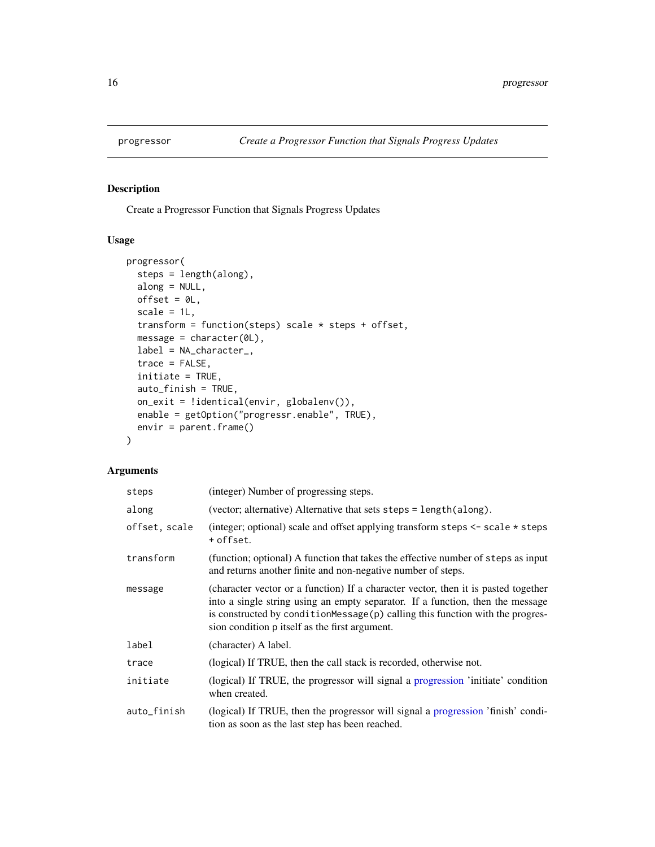<span id="page-15-0"></span>

Create a Progressor Function that Signals Progress Updates

# Usage

```
progressor(
  steps = length(along),
 along = NULL,
 offset = \theta L,
  scale = 1L,
  transform = function(steps) scale * steps + offset,
 message = character(0L),
 label = NA_character_,
  trace = FALSE,
  initiate = TRUE,
  auto_finish = TRUE,
 on_exit = !identical(envir, globalenv()),
 enable = getOption("progressr.enable", TRUE),
 envir = parent.frame()
)
```

| steps         | (integer) Number of progressing steps.                                                                                                                                                                                                                                                                      |
|---------------|-------------------------------------------------------------------------------------------------------------------------------------------------------------------------------------------------------------------------------------------------------------------------------------------------------------|
| along         | (vector; alternative) Alternative that sets steps = length(along).                                                                                                                                                                                                                                          |
| offset, scale | (integer; optional) scale and offset applying transform steps $\leq$ scale $\star$ steps<br>+ offset.                                                                                                                                                                                                       |
| transform     | (function; optional) A function that takes the effective number of steps as input<br>and returns another finite and non-negative number of steps.                                                                                                                                                           |
| message       | (character vector or a function) If a character vector, then it is pasted together<br>into a single string using an empty separator. If a function, then the message<br>is constructed by condition Message $(p)$ calling this function with the progres-<br>sion condition p itself as the first argument. |
| label         | (character) A label.                                                                                                                                                                                                                                                                                        |
| trace         | (logical) If TRUE, then the call stack is recorded, otherwise not.                                                                                                                                                                                                                                          |
| initiate      | (logical) If TRUE, the progressor will signal a progression 'initiate' condition<br>when created.                                                                                                                                                                                                           |
| auto_finish   | (logical) If TRUE, then the progressor will signal a progression 'finish' condi-<br>tion as soon as the last step has been reached.                                                                                                                                                                         |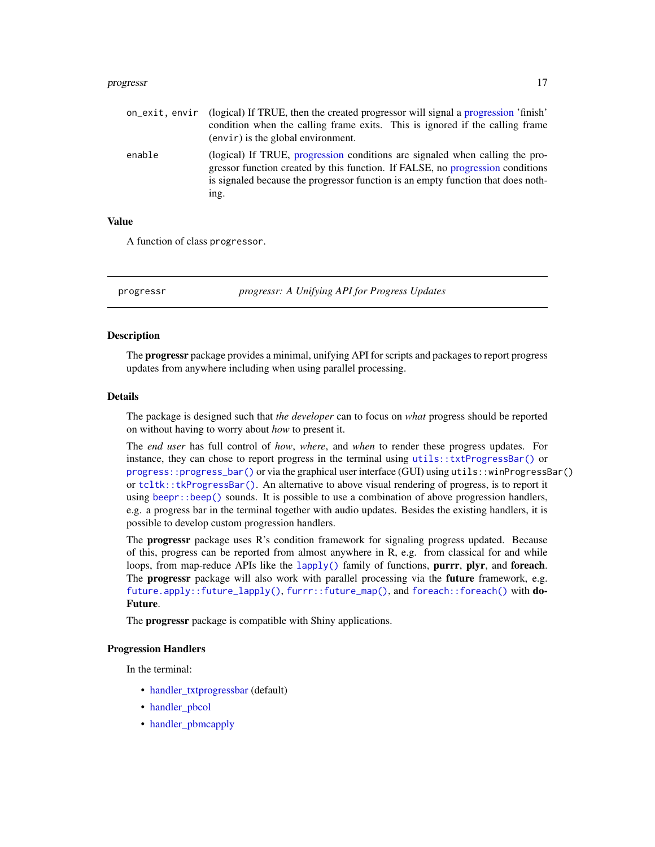#### <span id="page-16-0"></span>progressr and the contract of the contract of the contract of the contract of the contract of the contract of the contract of the contract of the contract of the contract of the contract of the contract of the contract of

| on exit.envir | (logical) If TRUE, then the created progressor will signal a progression 'finish'<br>condition when the calling frame exits. This is ignored if the calling frame<br>$(\text{envir})$ is the global environment.                                           |
|---------------|------------------------------------------------------------------------------------------------------------------------------------------------------------------------------------------------------------------------------------------------------------|
| enable        | (logical) If TRUE, progression conditions are signaled when calling the pro-<br>gressor function created by this function. If FALSE, no progression conditions<br>is signaled because the progressor function is an empty function that does noth-<br>ing. |

#### Value

A function of class progressor.

progressr *progressr: A Unifying API for Progress Updates*

#### Description

The **progressr** package provides a minimal, unifying API for scripts and packages to report progress updates from anywhere including when using parallel processing.

#### Details

The package is designed such that *the developer* can to focus on *what* progress should be reported on without having to worry about *how* to present it.

The *end user* has full control of *how*, *where*, and *when* to render these progress updates. For instance, they can chose to report progress in the terminal using [utils::txtProgressBar\(\)](#page-0-0) or [progress::progress\\_bar\(\)](#page-0-0) or via the graphical user interface (GUI) using utils::winProgressBar() or [tcltk::tkProgressBar\(\)](#page-0-0). An alternative to above visual rendering of progress, is to report it using beep $r$ : beep() sounds. It is possible to use a combination of above progression handlers, e.g. a progress bar in the terminal together with audio updates. Besides the existing handlers, it is possible to develop custom progression handlers.

The **progressr** package uses R's condition framework for signaling progress updated. Because of this, progress can be reported from almost anywhere in R, e.g. from classical for and while loops, from map-reduce APIs like the  $\text{lephy}()$  family of functions, purrr, plyr, and foreach. The **progressr** package will also work with parallel processing via the **future** framework, e.g. [future.apply::future\\_lapply\(\)](#page-0-0), [furrr::future\\_map\(\)](#page-0-0), and [foreach::foreach\(\)](#page-0-0) with do-Future.

The **progressr** package is compatible with Shiny applications.

#### Progression Handlers

In the terminal:

- handler txtprogressbar (default)
- handler pbcol
- [handler\\_pbmcapply](#page-8-1)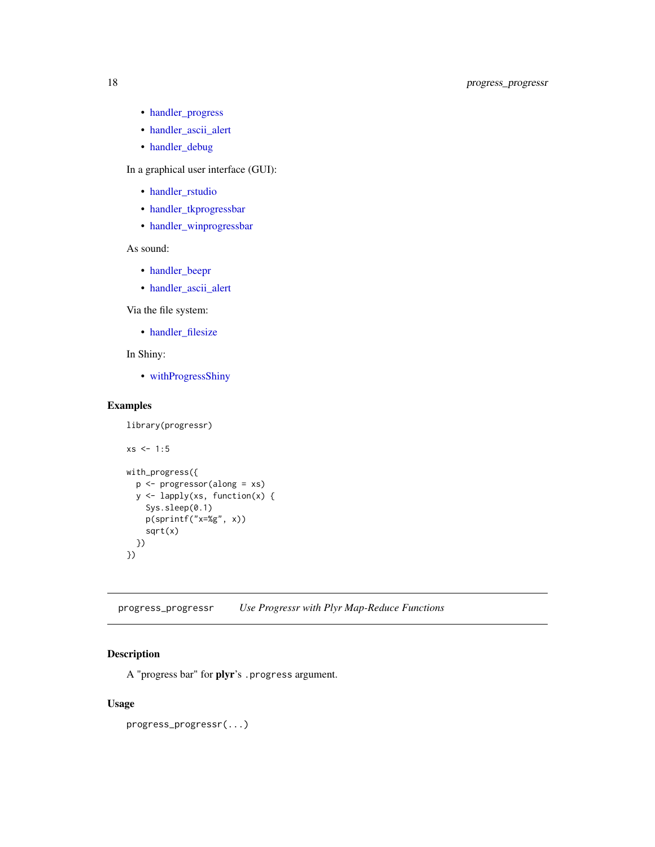# <span id="page-17-0"></span>18 progress\_progressr

- [handler\\_progress](#page-9-1)
- [handler\\_ascii\\_alert](#page-3-1)
- [handler\\_debug](#page-5-1)

In a graphical user interface (GUI):

- [handler\\_rstudio](#page-10-1)
- [handler\\_tkprogressbar](#page-11-1)
- [handler\\_winprogressbar](#page-14-1)

As sound:

- [handler\\_beepr](#page-4-1)
- [handler\\_ascii\\_alert](#page-3-1)

Via the file system:

• [handler\\_filesize](#page-6-1)

# In Shiny:

• [withProgressShiny](#page-18-1)

# Examples

```
library(progressr)
xs < -1:5with_progress({
  p <- progressor(along = xs)
  y <- lapply(xs, function(x) {
   Sys.sleep(0.1)
   p(sprintf("x=%g", x))
    sqrt(x)
  })
})
```
progress\_progressr *Use Progressr with Plyr Map-Reduce Functions*

# Description

A "progress bar" for plyr's .progress argument.

## Usage

progress\_progressr(...)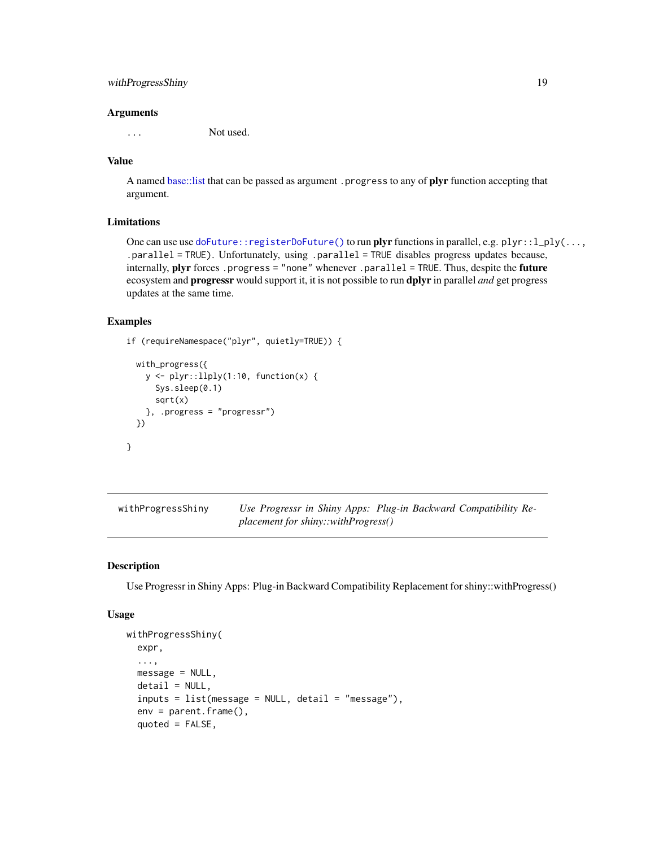# <span id="page-18-0"></span>withProgressShiny 19

#### **Arguments**

... Not used.

#### Value

A named [base::list](#page-0-0) that can be passed as argument .progress to any of plyr function accepting that argument.

# Limitations

One can use use [doFuture::registerDoFuture\(\)](#page-0-0) to run plyr functions in parallel, e.g. plyr::l\_ply(..., .parallel = TRUE). Unfortunately, using .parallel = TRUE disables progress updates because, internally, plyr forces .progress = "none" whenever .parallel = TRUE. Thus, despite the future ecosystem and progressr would support it, it is not possible to run dplyr in parallel *and* get progress updates at the same time.

#### Examples

}

```
if (requireNamespace("plyr", quietly=TRUE)) {
```

```
with_progress({
 y <- plyr::llply(1:10, function(x) {
    Sys.sleep(0.1)
    sqrt(x)
  }, .progress = "progressr")
})
```
<span id="page-18-1"></span>

| withProgressShiny | Use Progressr in Shiny Apps: Plug-in Backward Compatibility Re- |  |  |
|-------------------|-----------------------------------------------------------------|--|--|
|                   | $placement for$ shiny::withProgress()                           |  |  |

#### Description

Use Progressr in Shiny Apps: Plug-in Backward Compatibility Replacement for shiny::withProgress()

#### Usage

```
withProgressShiny(
  expr,
  ...,
 message = NULL,
  delta1 = NULL,
  inputs = list(message = NULL, detail = "message"),
  env = parent.frame(),
  quoted = FALSE,
```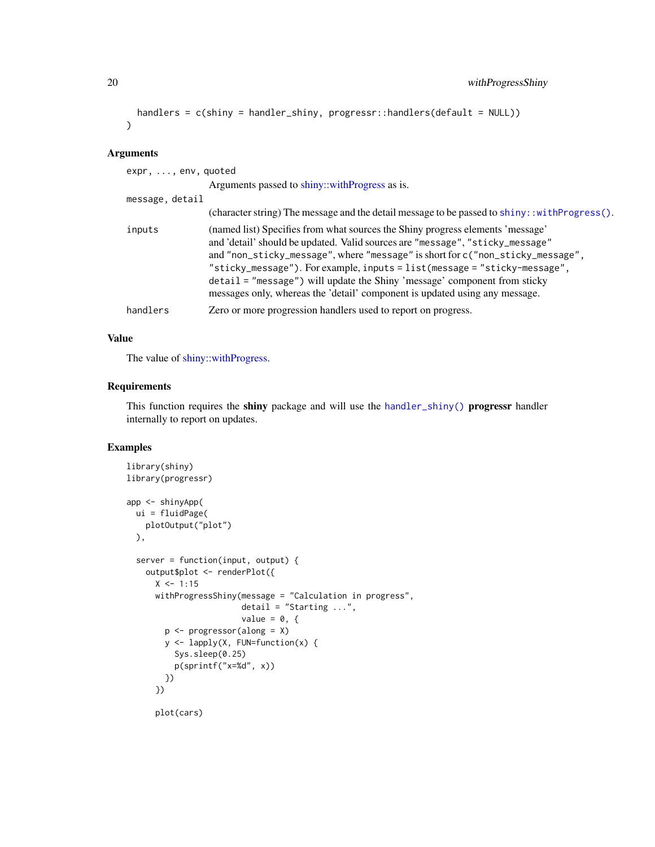```
handlers = c(shiny = handler_shiny, progressr::handlers(default = NULL))
\lambda
```
# Arguments

| $expr, \ldots, env, quoted$ |                                                                                                                                                                                                                                                                                                                                                                                                                                                                                            |
|-----------------------------|--------------------------------------------------------------------------------------------------------------------------------------------------------------------------------------------------------------------------------------------------------------------------------------------------------------------------------------------------------------------------------------------------------------------------------------------------------------------------------------------|
|                             | Arguments passed to shiny::withProgress as is.                                                                                                                                                                                                                                                                                                                                                                                                                                             |
| message, detail             |                                                                                                                                                                                                                                                                                                                                                                                                                                                                                            |
|                             | (character string) The message and the detail message to be passed to shiny: : with Progress().                                                                                                                                                                                                                                                                                                                                                                                            |
| inputs                      | (named list) Specifies from what sources the Shiny progress elements 'message'<br>and 'detail' should be updated. Valid sources are "message", "sticky_message"<br>and "non_sticky_message", where "message" is short for c("non_sticky_message",<br>"sticky_message"). For example, inputs = list(message = "sticky-message",<br>detail = "message") will update the Shiny 'message' component from sticky<br>messages only, whereas the 'detail' component is updated using any message. |
| handlers                    | Zero or more progression handlers used to report on progress.                                                                                                                                                                                                                                                                                                                                                                                                                              |

# Value

The value of [shiny::withProgress.](#page-0-0)

#### Requirements

This function requires the shiny package and will use the [handler\\_shiny\(\)](#page-0-0) progressr handler internally to report on updates.

```
library(shiny)
library(progressr)
app <- shinyApp(
 ui = fluidPage(
   plotOutput("plot")
  ),
  server = function(input, output) {
   output$plot <- renderPlot({
     X < -1:15withProgressShiny(message = "Calculation in progress",
                       detail = "Starting ...",
                       value = 0, \{p <- progressor(along = X)
       y <- lapply(X, FUN=function(x) {
         Sys.sleep(0.25)
         p(sprintf("x=%d", x))
       })
      })
      plot(cars)
```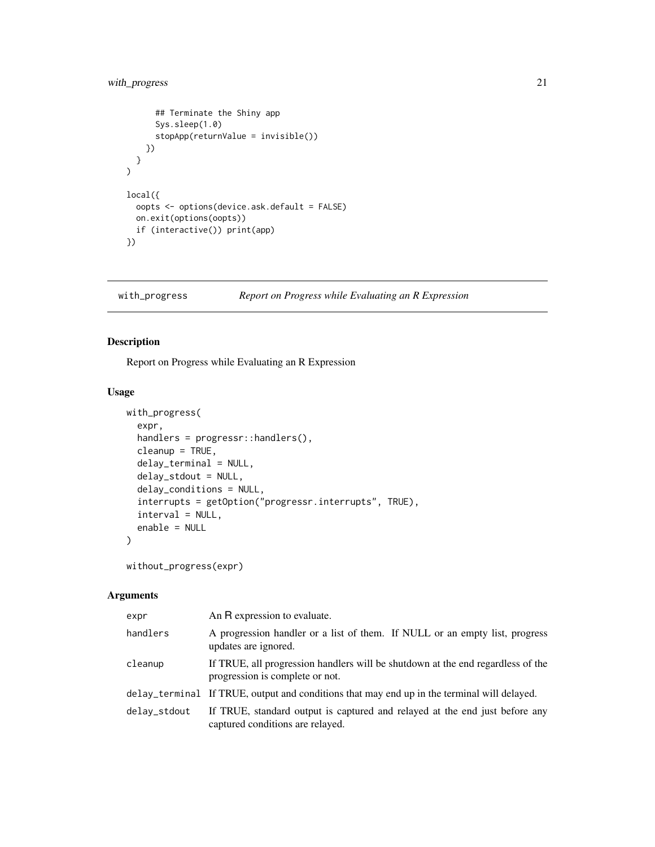# <span id="page-20-0"></span>with\_progress 21

```
## Terminate the Shiny app
      Sys.sleep(1.0)
      stopApp(returnValue = invisible())
    })
  }
\overline{\phantom{a}}local({
  oopts <- options(device.ask.default = FALSE)
  on.exit(options(oopts))
  if (interactive()) print(app)
})
```
with\_progress *Report on Progress while Evaluating an R Expression*

# Description

Report on Progress while Evaluating an R Expression

#### Usage

```
with_progress(
  expr,
  handlers = progressr::handlers(),
  cleanup = TRUE,
  delay_terminal = NULL,
  delay_stdout = NULL,
  delay_conditions = NULL,
  interrupts = getOption("progressr.interrupts", TRUE),
  interval = NULL,
  enable = NULL
\mathcal{L}
```

```
without_progress(expr)
```

| expr         | An R expression to evaluate.                                                                                       |
|--------------|--------------------------------------------------------------------------------------------------------------------|
| handlers     | A progression handler or a list of them. If NULL or an empty list, progress<br>updates are ignored.                |
| cleanup      | If TRUE, all progression handlers will be shutdown at the end regardless of the<br>progression is complete or not. |
|              | delay_terminal If TRUE, output and conditions that may end up in the terminal will delayed.                        |
| delay_stdout | If TRUE, standard output is captured and relayed at the end just before any<br>captured conditions are relayed.    |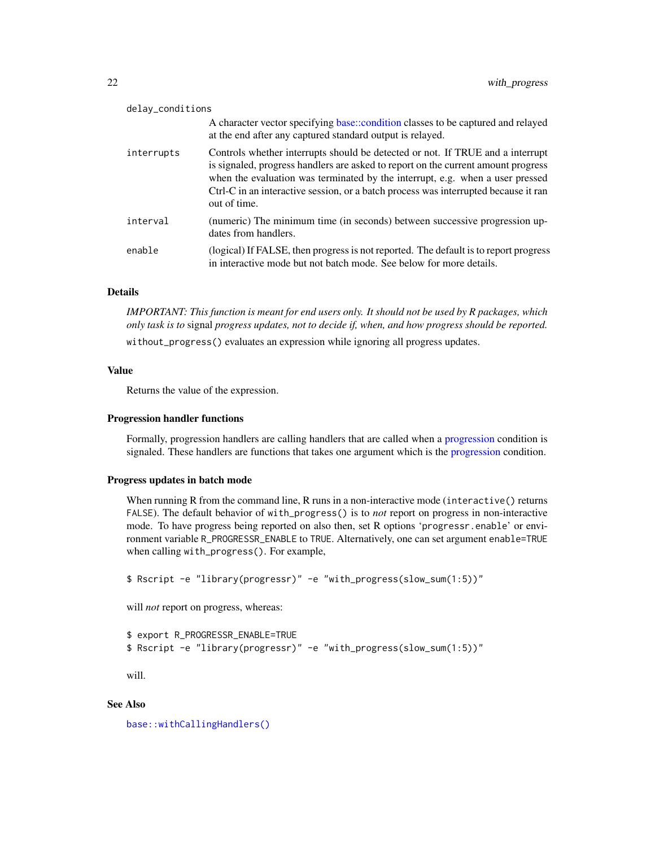<span id="page-21-0"></span>

| delay_conditions |                                                                                                                                                                                                                                                                                                                                                             |
|------------------|-------------------------------------------------------------------------------------------------------------------------------------------------------------------------------------------------------------------------------------------------------------------------------------------------------------------------------------------------------------|
|                  | A character vector specifying base::condition classes to be captured and relayed<br>at the end after any captured standard output is relayed.                                                                                                                                                                                                               |
| interrupts       | Controls whether interrupts should be detected or not. If TRUE and a interrupt<br>is signaled, progress handlers are asked to report on the current amount progress<br>when the evaluation was terminated by the interrupt, e.g. when a user pressed<br>Ctrl-C in an interactive session, or a batch process was interrupted because it ran<br>out of time. |
| interval         | (numeric) The minimum time (in seconds) between successive progression up-<br>dates from handlers.                                                                                                                                                                                                                                                          |
| enable           | (logical) If FALSE, then progress is not reported. The default is to report progress<br>in interactive mode but not batch mode. See below for more details.                                                                                                                                                                                                 |

# Details

*IMPORTANT: This function is meant for end users only. It should not be used by R packages, which only task is to* signal *progress updates, not to decide if, when, and how progress should be reported.*

without\_progress() evaluates an expression while ignoring all progress updates.

#### Value

Returns the value of the expression.

#### Progression handler functions

Formally, progression handlers are calling handlers that are called when a [progression](#page-0-0) condition is signaled. These handlers are functions that takes one argument which is the [progression](#page-0-0) condition.

#### Progress updates in batch mode

When running R from the command line, R runs in a non-interactive mode (interactive() returns FALSE). The default behavior of with\_progress() is to *not* report on progress in non-interactive mode. To have progress being reported on also then, set R options 'progressr.enable' or environment variable R\_PROGRESSR\_ENABLE to TRUE. Alternatively, one can set argument enable=TRUE when calling with\_progress(). For example,

```
$ Rscript -e "library(progressr)" -e "with_progress(slow_sum(1:5))"
```
will *not* report on progress, whereas:

```
$ export R_PROGRESSR_ENABLE=TRUE
$ Rscript -e "library(progressr)" -e "with_progress(slow_sum(1:5))"
```
will.

# See Also

[base::withCallingHandlers\(\)](#page-0-0)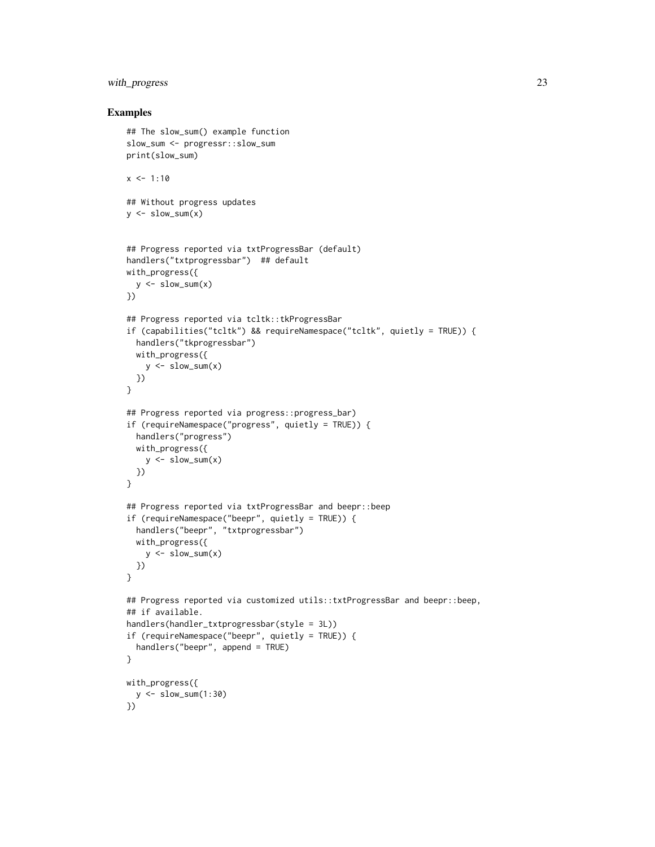# with\_progress 23

```
## The slow_sum() example function
slow_sum <- progressr::slow_sum
print(slow_sum)
x \le -1:10## Without progress updates
y \leftarrow slow_sum(x)## Progress reported via txtProgressBar (default)
handlers("txtprogressbar") ## default
with_progress({
 y \leftarrow \text{slow\_sum}(x)})
## Progress reported via tcltk::tkProgressBar
if (capabilities("tcltk") && requireNamespace("tcltk", quietly = TRUE)) {
  handlers("tkprogressbar")
  with_progress({
    y \leftarrow slow_sum(x)})
}
## Progress reported via progress::progress_bar)
if (requireNamespace("progress", quietly = TRUE)) {
  handlers("progress")
  with_progress({
    y \leftarrow \text{slow\_sum}(x)})
}
## Progress reported via txtProgressBar and beepr::beep
if (requireNamespace("beepr", quietly = TRUE)) {
  handlers("beepr", "txtprogressbar")
  with_progress({
    y \leftarrow \text{slow\_sum}(x)})
}
## Progress reported via customized utils::txtProgressBar and beepr::beep,
## if available.
handlers(handler_txtprogressbar(style = 3L))
if (requireNamespace("beepr", quietly = TRUE)) {
  handlers("beepr", append = TRUE)
}
with_progress({
  y \le - slow_sum(1:30)
})
```